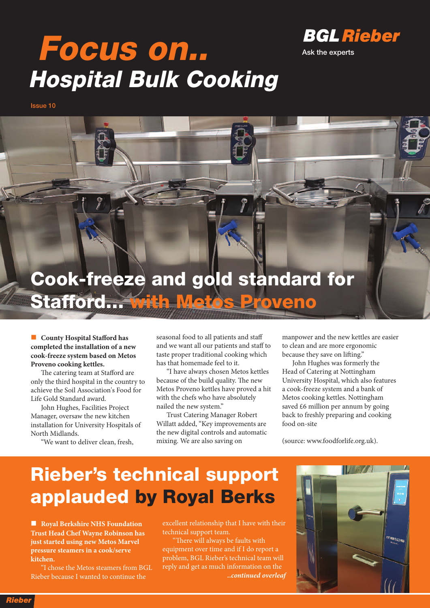

# **Focus on.. Hospital Bulk Cooking**

**Issue 10**



n **County Hospital Stafford has completed the installation of a new cook-freeze system based on Metos Proveno cooking kettles.**

The catering team at Stafford are only the third hospital in the country to achieve the Soil Association's Food for Life Gold Standard award.

John Hughes, Facilities Project Manager, oversaw the new kitchen installation for University Hospitals of North Midlands. "We want to deliver clean, fresh,

seasonal food to all patients and staff and we want all our patients and staff to taste proper traditional cooking which has that homemade feel to it.

"I have always chosen Metos kettles because of the build quality. The new Metos Proveno kettles have proved a hit with the chefs who have absolutely nailed the new system."

Trust Catering Manager Robert Willatt added, "Key improvements are the new digital controls and automatic mixing. We are also saving on

manpower and the new kettles are easier to clean and are more ergonomic because they save on lifting."

John Hughes was formerly the Head of Catering at Nottingham University Hospital, which also features a cook-freeze system and a bank of Metos cooking kettles. Nottingham saved £6 million per annum by going back to freshly preparing and cooking food on-site

(source: www.foodforlife.org.uk).

## **Rieber's technical support applauded by Royal Berks**

n **Royal Berkshire NHS Foundation Trust Head Chef Wayne Robinson has just started using new Metos Marvel pressure steamers in a cook/serve kitchen.**

"I chose the Metos steamers from BGL Rieber because I wanted to continue the

excellent relationship that I have with their technical support team.

"There will always be faults with equipment over time and if I do report a problem, BGL Rieber's technical team will reply and get as much information on the *..continued overleaf*